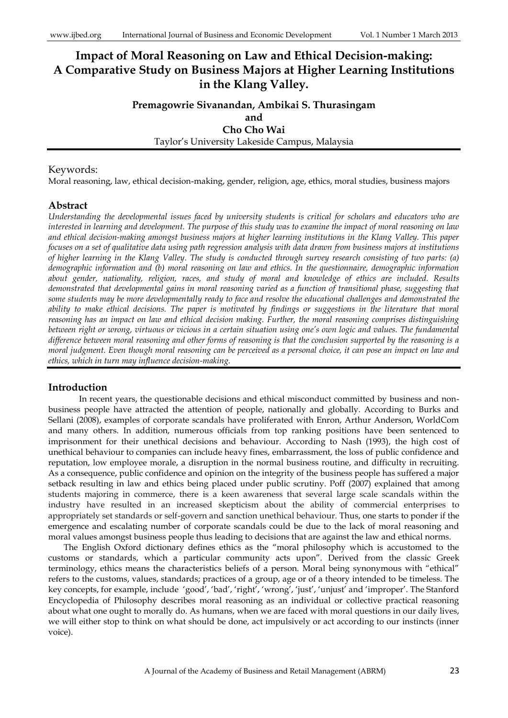# **Impact of Moral Reasoning on Law and Ethical Decision-making: A Comparative Study on Business Majors at Higher Learning Institutions in the Klang Valley.**

# **Premagowrie Sivanandan, Ambikai S. Thurasingam and Cho Cho Wai** Taylor's University Lakeside Campus, Malaysia

### Keywords:

Moral reasoning, law, ethical decision-making, gender, religion, age, ethics, moral studies, business majors

### **Abstract**

*Understanding the developmental issues faced by university students is critical for scholars and educators who are interested in learning and development. The purpose of this study was to examine the impact of moral reasoning on law and ethical decision-making amongst business majors at higher learning institutions in the Klang Valley. This paper focuses on a set of qualitative data using path regression analysis with data drawn from business majors at institutions of higher learning in the Klang Valley. The study is conducted through survey research consisting of two parts: (a) demographic information and (b) moral reasoning on law and ethics. In the questionnaire, demographic information about gender, nationality, religion, races, and study of moral and knowledge of ethics are included. Results demonstrated that developmental gains in moral reasoning varied as a function of transitional phase, suggesting that some students may be more developmentally ready to face and resolve the educational challenges and demonstrated the ability to make ethical decisions. The paper is motivated by findings or suggestions in the literature that moral reasoning has an impact on law and ethical decision making. Further, the moral reasoning comprises distinguishing between right or wrong, virtuous or vicious in a certain situation using one's own logic and values. The fundamental difference between moral reasoning and other forms of reasoning is that the conclusion supported by the reasoning is a moral judgment. Even though moral reasoning can be perceived as a personal choice, it can pose an impact on law and ethics, which in turn may influence decision-making.* 

### **Introduction**

In recent years, the questionable decisions and ethical misconduct committed by business and nonbusiness people have attracted the attention of people, nationally and globally. According to Burks and Sellani (2008), examples of corporate scandals have proliferated with Enron, Arthur Anderson, WorldCom and many others. In addition, numerous officials from top ranking positions have been sentenced to imprisonment for their unethical decisions and behaviour. According to Nash (1993), the high cost of unethical behaviour to companies can include heavy fines, embarrassment, the loss of public confidence and reputation, low employee morale, a disruption in the normal business routine, and difficulty in recruiting. As a consequence, public confidence and opinion on the integrity of the business people has suffered a major setback resulting in law and ethics being placed under public scrutiny. Poff (2007) explained that among students majoring in commerce, there is a keen awareness that several large scale scandals within the industry have resulted in an increased skepticism about the ability of commercial enterprises to appropriately set standards or self-govern and sanction unethical behaviour. Thus, one starts to ponder if the emergence and escalating number of corporate scandals could be due to the lack of moral reasoning and moral values amongst business people thus leading to decisions that are against the law and ethical norms.

The English Oxford dictionary defines ethics as the "moral philosophy which is accustomed to the customs or standards, which a particular community acts upon". Derived from the classic Greek terminology, ethics means the characteristics beliefs of a person. Moral being synonymous with "ethical" refers to the customs, values, standards; practices of a group, age or of a theory intended to be timeless. The key concepts, for example, include 'good', 'bad', 'right', 'wrong', 'just', 'unjust' and 'improper'. The Stanford Encyclopedia of Philosophy describes moral reasoning as an individual or collective practical reasoning about what one ought to morally do. As humans, when we are faced with moral questions in our daily lives, we will either stop to think on what should be done, act impulsively or act according to our instincts (inner voice).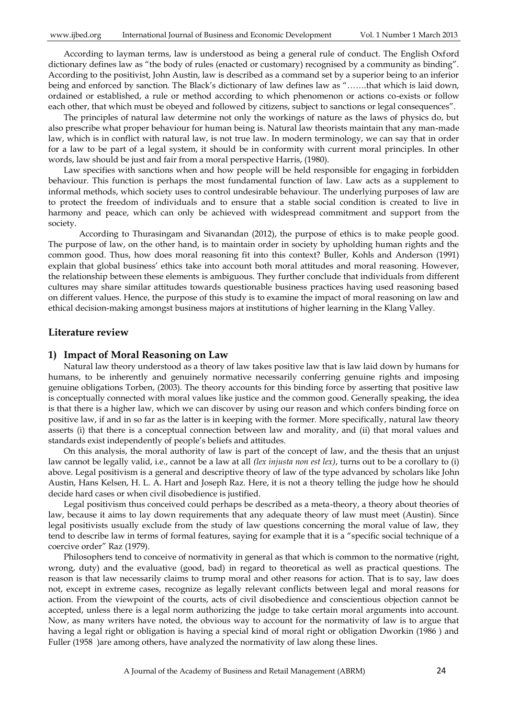According to layman terms, law is understood as being a general rule of conduct. The English Oxford dictionary defines law as "the body of rules (enacted or customary) recognised by a community as binding". According to the positivist, John Austin, law is described as a command set by a superior being to an inferior being and enforced by sanction. The Black's dictionary of law defines law as "…….that which is laid down, ordained or established, a rule or method according to which phenomenon or actions co-exists or follow each other, that which must be obeyed and followed by citizens, subject to sanctions or legal consequences".

The principles of natural law determine not only the workings of nature as the laws of physics do, but also prescribe what proper behaviour for human being is. Natural law theorists maintain that any man-made law, which is in conflict with natural law, is not true law. In modern terminology, we can say that in order for a law to be part of a legal system, it should be in conformity with current moral principles. In other words, law should be just and fair from a moral perspective Harris, (1980).

Law specifies with sanctions when and how people will be held responsible for engaging in forbidden behaviour. This function is perhaps the most fundamental function of law. Law acts as a supplement to informal methods, which society uses to control undesirable behaviour. The underlying purposes of law are to protect the freedom of individuals and to ensure that a stable social condition is created to live in harmony and peace, which can only be achieved with widespread commitment and support from the society.

According to Thurasingam and Sivanandan (2012), the purpose of ethics is to make people good. The purpose of law, on the other hand, is to maintain order in society by upholding human rights and the common good. Thus, how does moral reasoning fit into this context? Buller, Kohls and Anderson (1991) explain that global business' ethics take into account both moral attitudes and moral reasoning. However, the relationship between these elements is ambiguous. They further conclude that individuals from different cultures may share similar attitudes towards questionable business practices having used reasoning based on different values. Hence, the purpose of this study is to examine the impact of moral reasoning on law and ethical decision-making amongst business majors at institutions of higher learning in the Klang Valley.

### **Literature review**

#### **1) Impact of Moral Reasoning on Law**

Natural law theory understood as a theory of law takes positive law that is law laid down by humans for humans, to be inherently and genuinely normative necessarily conferring genuine rights and imposing genuine obligations Torben, (2003). The theory accounts for this binding force by asserting that positive law is conceptually connected with moral values like justice and the common good. Generally speaking, the idea is that there is a higher law, which we can discover by using our reason and which confers binding force on positive law, if and in so far as the latter is in keeping with the former. More specifically, natural law theory asserts (i) that there is a conceptual connection between law and morality, and (ii) that moral values and standards exist independently of people's beliefs and attitudes.

On this analysis, the moral authority of law is part of the concept of law, and the thesis that an unjust law cannot be legally valid, i.e., cannot be a law at all *(lex injusta non est lex)*, turns out to be a corollary to (i) above. Legal positivism is a general and descriptive theory of law of the type advanced by scholars like John Austin, Hans Kelsen, H. L. A. Hart and Joseph Raz. Here, it is not a theory telling the judge how he should decide hard cases or when civil disobedience is justified.

Legal positivism thus conceived could perhaps be described as a meta-theory, a theory about theories of law, because it aims to lay down requirements that any adequate theory of law must meet (Austin). Since legal positivists usually exclude from the study of law questions concerning the moral value of law, they tend to describe law in terms of formal features, saying for example that it is a "specific social technique of a coercive order" Raz (1979).

Philosophers tend to conceive of normativity in general as that which is common to the normative (right, wrong, duty) and the evaluative (good, bad) in regard to theoretical as well as practical questions. The reason is that law necessarily claims to trump moral and other reasons for action. That is to say, law does not, except in extreme cases, recognize as legally relevant conflicts between legal and moral reasons for action. From the viewpoint of the courts, acts of civil disobedience and conscientious objection cannot be accepted, unless there is a legal norm authorizing the judge to take certain moral arguments into account. Now, as many writers have noted, the obvious way to account for the normativity of law is to argue that having a legal right or obligation is having a special kind of moral right or obligation Dworkin (1986 ) and Fuller (1958 )are among others, have analyzed the normativity of law along these lines.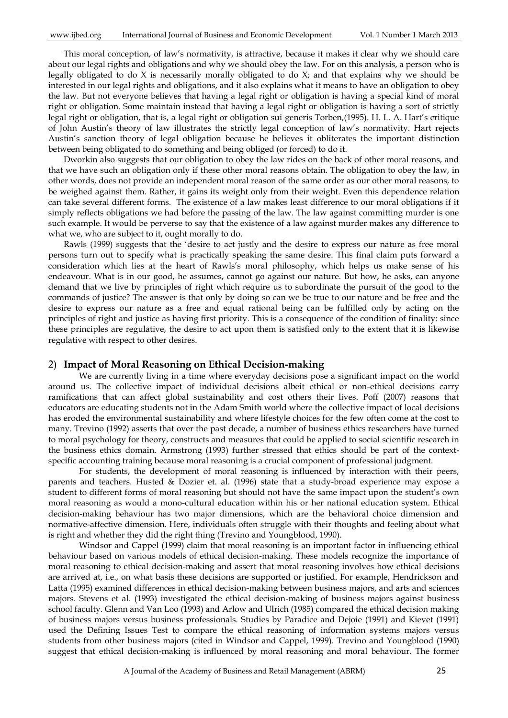This moral conception, of law's normativity, is attractive, because it makes it clear why we should care about our legal rights and obligations and why we should obey the law. For on this analysis, a person who is legally obligated to do X is necessarily morally obligated to do X; and that explains why we should be interested in our legal rights and obligations, and it also explains what it means to have an obligation to obey the law. But not everyone believes that having a legal right or obligation is having a special kind of moral right or obligation. Some maintain instead that having a legal right or obligation is having a sort of strictly legal right or obligation, that is, a legal right or obligation sui generis Torben,(1995). H. L. A. Hart's critique of John Austin's theory of law illustrates the strictly legal conception of law's normativity. Hart rejects Austin's sanction theory of legal obligation because he believes it obliterates the important distinction between being obligated to do something and being obliged (or forced) to do it.

Dworkin also suggests that our obligation to obey the law rides on the back of other moral reasons, and that we have such an obligation only if these other moral reasons obtain. The obligation to obey the law, in other words, does not provide an independent moral reason of the same order as our other moral reasons, to be weighed against them. Rather, it gains its weight only from their weight. Even this dependence relation can take several different forms. The existence of a law makes least difference to our moral obligations if it simply reflects obligations we had before the passing of the law. The law against committing murder is one such example. It would be perverse to say that the existence of a law against murder makes any difference to what we, who are subject to it, ought morally to do.

Rawls (1999) suggests that the 'desire to act justly and the desire to express our nature as free moral persons turn out to specify what is practically speaking the same desire. This final claim puts forward a consideration which lies at the heart of Rawls's moral philosophy, which helps us make sense of his endeavour. What is in our good, he assumes, cannot go against our nature. But how, he asks, can anyone demand that we live by principles of right which require us to subordinate the pursuit of the good to the commands of justice? The answer is that only by doing so can we be true to our nature and be free and the desire to express our nature as a free and equal rational being can be fulfilled only by acting on the principles of right and justice as having first priority. This is a consequence of the condition of finality: since these principles are regulative, the desire to act upon them is satisfied only to the extent that it is likewise regulative with respect to other desires.

### 2) **Impact of Moral Reasoning on Ethical Decision-making**

We are currently living in a time where everyday decisions pose a significant impact on the world around us. The collective impact of individual decisions albeit ethical or non-ethical decisions carry ramifications that can affect global sustainability and cost others their lives. Poff (2007) reasons that educators are educating students not in the Adam Smith world where the collective impact of local decisions has eroded the environmental sustainability and where lifestyle choices for the few often come at the cost to many. Trevino (1992) asserts that over the past decade, a number of business ethics researchers have turned to moral psychology for theory, constructs and measures that could be applied to social scientific research in the business ethics domain. Armstrong (1993) further stressed that ethics should be part of the contextspecific accounting training because moral reasoning is a crucial component of professional judgment.

For students, the development of moral reasoning is influenced by interaction with their peers, parents and teachers. Husted & Dozier et. al. (1996) state that a study-broad experience may expose a student to different forms of moral reasoning but should not have the same impact upon the student's own moral reasoning as would a mono-cultural education within his or her national education system. Ethical decision-making behaviour has two major dimensions, which are the behavioral choice dimension and normative-affective dimension. Here, individuals often struggle with their thoughts and feeling about what is right and whether they did the right thing (Trevino and Youngblood, 1990).

Windsor and Cappel (1999) claim that moral reasoning is an important factor in influencing ethical behaviour based on various models of ethical decision-making. These models recognize the importance of moral reasoning to ethical decision-making and assert that moral reasoning involves how ethical decisions are arrived at, i.e., on what basis these decisions are supported or justified. For example, Hendrickson and Latta (1995) examined differences in ethical decision-making between business majors, and arts and sciences majors. Stevens et al. (1993) investigated the ethical decision-making of business majors against business school faculty. Glenn and Van Loo (1993) and Arlow and Ulrich (1985) compared the ethical decision making of business majors versus business professionals. Studies by Paradice and Dejoie (1991) and Kievet (1991) used the Defining Issues Test to compare the ethical reasoning of information systems majors versus students from other business majors (cited in Windsor and Cappel, 1999). Trevino and Youngblood (1990) suggest that ethical decision-making is influenced by moral reasoning and moral behaviour. The former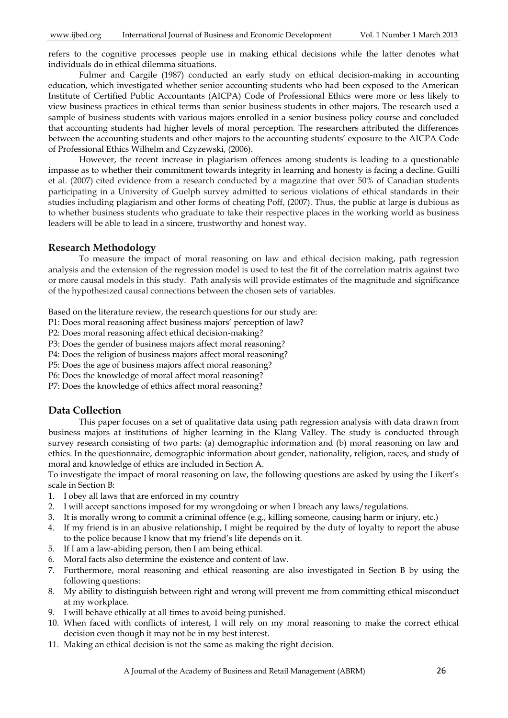refers to the cognitive processes people use in making ethical decisions while the latter denotes what individuals do in ethical dilemma situations.

Fulmer and Cargile (1987) conducted an early study on ethical decision-making in accounting education, which investigated whether senior accounting students who had been exposed to the American Institute of Certified Public Accountants (AICPA) Code of Professional Ethics were more or less likely to view business practices in ethical terms than senior business students in other majors. The research used a sample of business students with various majors enrolled in a senior business policy course and concluded that accounting students had higher levels of moral perception. The researchers attributed the differences between the accounting students and other majors to the accounting students' exposure to the AICPA Code of Professional Ethics Wilhelm and Czyzewski, (2006).

However, the recent increase in plagiarism offences among students is leading to a questionable impasse as to whether their commitment towards integrity in learning and honesty is facing a decline. Guilli et al. (2007) cited evidence from a research conducted by a magazine that over 50% of Canadian students participating in a University of Guelph survey admitted to serious violations of ethical standards in their studies including plagiarism and other forms of cheating Poff, (2007). Thus, the public at large is dubious as to whether business students who graduate to take their respective places in the working world as business leaders will be able to lead in a sincere, trustworthy and honest way.

### **Research Methodology**

To measure the impact of moral reasoning on law and ethical decision making, path regression analysis and the extension of the regression model is used to test the fit of the correlation matrix against two or more causal models in this study. Path analysis will provide estimates of the magnitude and significance of the hypothesized causal connections between the chosen sets of variables.

Based on the literature review, the research questions for our study are:

- P1: Does moral reasoning affect business majors' perception of law?
- P2: Does moral reasoning affect ethical decision-making?
- P3: Does the gender of business majors affect moral reasoning?
- P4: Does the religion of business majors affect moral reasoning?
- P5: Does the age of business majors affect moral reasoning?
- P6: Does the knowledge of moral affect moral reasoning?
- P7: Does the knowledge of ethics affect moral reasoning?

### **Data Collection**

This paper focuses on a set of qualitative data using path regression analysis with data drawn from business majors at institutions of higher learning in the Klang Valley. The study is conducted through survey research consisting of two parts: (a) demographic information and (b) moral reasoning on law and ethics. In the questionnaire, demographic information about gender, nationality, religion, races, and study of moral and knowledge of ethics are included in Section A.

To investigate the impact of moral reasoning on law, the following questions are asked by using the Likert's scale in Section B:

- 1. I obey all laws that are enforced in my country
- 2. I will accept sanctions imposed for my wrongdoing or when I breach any laws/regulations.
- 3. It is morally wrong to commit a criminal offence (e.g., killing someone, causing harm or injury, etc.)
- 4. If my friend is in an abusive relationship, I might be required by the duty of loyalty to report the abuse to the police because I know that my friend's life depends on it.
- 5. If I am a law-abiding person, then I am being ethical.
- 6. Moral facts also determine the existence and content of law.
- 7. Furthermore, moral reasoning and ethical reasoning are also investigated in Section B by using the following questions:
- 8. My ability to distinguish between right and wrong will prevent me from committing ethical misconduct at my workplace.
- 9. I will behave ethically at all times to avoid being punished.
- 10. When faced with conflicts of interest, I will rely on my moral reasoning to make the correct ethical decision even though it may not be in my best interest.
- 11. Making an ethical decision is not the same as making the right decision.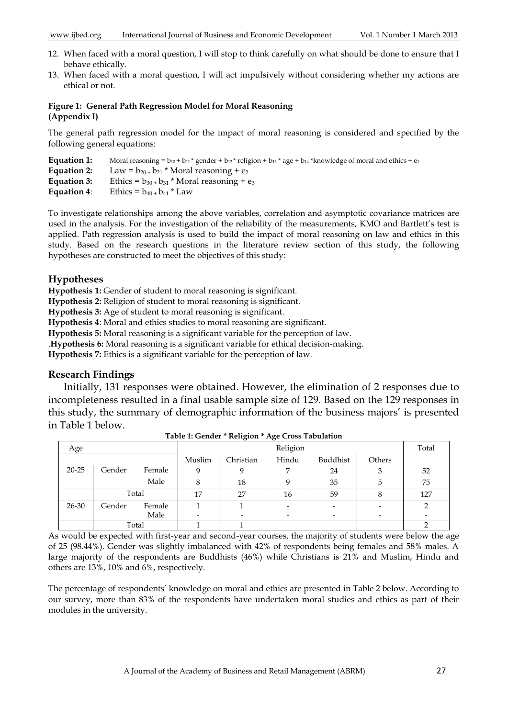- 12. When faced with a moral question, I will stop to think carefully on what should be done to ensure that I behave ethically.
- 13. When faced with a moral question, I will act impulsively without considering whether my actions are ethical or not.

### **Figure 1: General Path Regression Model for Moral Reasoning (Appendix I)**

The general path regression model for the impact of moral reasoning is considered and specified by the following general equations:

| Equation 1: | Moral reasoning = $b_{10} + b_{11}$ * gender + $b_{12}$ * religion + $b_{13}$ * age + $b_{14}$ * knowledge of moral and ethics + $e_1$ |
|-------------|----------------------------------------------------------------------------------------------------------------------------------------|
| Equation 2: | Law = $b_{20}$ + $b_{21}$ * Moral reasoning + $e_2$                                                                                    |
| Equation 3: | Ethics = $b_{30}$ + $b_{31}$ * Moral reasoning + $e_3$                                                                                 |
| Equation 4: | Ethics = $b_{40+}b_{41}$ * Law                                                                                                         |

To investigate relationships among the above variables, correlation and asymptotic covariance matrices are used in the analysis. For the investigation of the reliability of the measurements, KMO and Bartlett's test is applied. Path regression analysis is used to build the impact of moral reasoning on law and ethics in this study. Based on the research questions in the literature review section of this study, the following hypotheses are constructed to meet the objectives of this study:

# **Hypotheses**

**Hypothesis 1:** Gender of student to moral reasoning is significant.

**Hypothesis 2:** Religion of student to moral reasoning is significant.

**Hypothesis 3:** Age of student to moral reasoning is significant.

**Hypothesis 4**: Moral and ethics studies to moral reasoning are significant.

**Hypothesis 5:** Moral reasoning is a significant variable for the perception of law.

.**Hypothesis 6:** Moral reasoning is a significant variable for ethical decision-making.

**Hypothesis 7:** Ethics is a significant variable for the perception of law.

# **Research Findings**

Initially, 131 responses were obtained. However, the elimination of 2 responses due to incompleteness resulted in a final usable sample size of 129. Based on the 129 responses in this study, the summary of demographic information of the business majors' is presented in Table 1 below.

| Age       |        |        | Religion |           |       |          |        | Total |
|-----------|--------|--------|----------|-----------|-------|----------|--------|-------|
|           |        |        | Muslim   | Christian | Hindu | Buddhist | Others |       |
| $20 - 25$ | Gender | Female | 9        |           | 7     | 24       |        | 52    |
|           |        | Male   | 8        | 18        | 9     | 35       | 5      | 75    |
|           | Total  |        | 17       | 27        | 16    | 59       | 8      | 127   |
| 26-30     | Gender | Female |          |           |       |          |        |       |
|           |        | Male   |          |           |       |          |        |       |
|           | Total  |        |          |           |       |          |        |       |

**Table 1: Gender \* Religion \* Age Cross Tabulation**

As would be expected with first-year and second-year courses, the majority of students were below the age of 25 (98.44%). Gender was slightly imbalanced with 42% of respondents being females and 58% males. A large majority of the respondents are Buddhists (46%) while Christians is 21% and Muslim, Hindu and others are 13%, 10% and 6%, respectively.

The percentage of respondents' knowledge on moral and ethics are presented in Table 2 below. According to our survey, more than 83% of the respondents have undertaken moral studies and ethics as part of their modules in the university.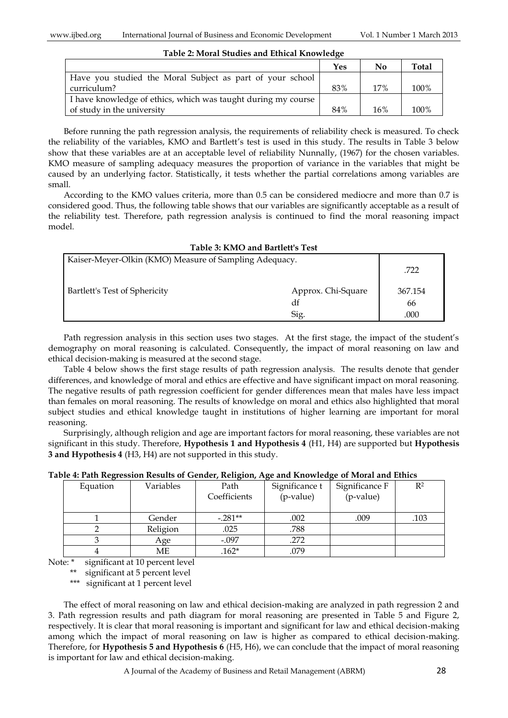| THEIR SERVICE ON MILE WILL ENTIRE THIS HARD HARD              |     |     |              |  |  |  |
|---------------------------------------------------------------|-----|-----|--------------|--|--|--|
|                                                               | Yes | No  | <b>Total</b> |  |  |  |
| Have you studied the Moral Subject as part of your school     |     |     |              |  |  |  |
| curriculum?                                                   | 83% | 17% | 100%         |  |  |  |
| I have knowledge of ethics, which was taught during my course |     |     |              |  |  |  |
| of study in the university                                    | 84% | 16% | 100%         |  |  |  |

**Table 2: Moral Studies and Ethical Knowledge** 

Before running the path regression analysis, the requirements of reliability check is measured. To check the reliability of the variables, KMO and Bartlett's test is used in this study. The results in Table 3 below show that these variables are at an acceptable level of reliability Nunnally, (1967) for the chosen variables. KMO measure of sampling adequacy measures the proportion of variance in the variables that might be caused by an underlying factor. Statistically, it tests whether the partial correlations among variables are small.

According to the KMO values criteria, more than 0.5 can be considered mediocre and more than 0.7 is considered good. Thus, the following table shows that our variables are significantly acceptable as a result of the reliability test. Therefore, path regression analysis is continued to find the moral reasoning impact model.

#### **Table 3: KMO and Bartlett's Test**

| Kaiser-Meyer-Olkin (KMO) Measure of Sampling Adequacy. | .722               |         |
|--------------------------------------------------------|--------------------|---------|
| Bartlett's Test of Sphericity                          | Approx. Chi-Square | 367.154 |
|                                                        | df                 | 66      |
|                                                        | Sig.               | .000    |

Path regression analysis in this section uses two stages. At the first stage, the impact of the student's demography on moral reasoning is calculated. Consequently, the impact of moral reasoning on law and ethical decision-making is measured at the second stage.

Table 4 below shows the first stage results of path regression analysis. The results denote that gender differences, and knowledge of moral and ethics are effective and have significant impact on moral reasoning. The negative results of path regression coefficient for gender differences mean that males have less impact than females on moral reasoning. The results of knowledge on moral and ethics also highlighted that moral subject studies and ethical knowledge taught in institutions of higher learning are important for moral reasoning.

Surprisingly, although religion and age are important factors for moral reasoning, these variables are not significant in this study. Therefore, **Hypothesis 1 and Hypothesis 4** (H1, H4) are supported but **Hypothesis 3 and Hypothesis 4** (H3, H4) are not supported in this study.

| Table 4: Path Regression Results of Gender, Religion, Age and Knowledge of Moral and Ethics |  |  |
|---------------------------------------------------------------------------------------------|--|--|
|                                                                                             |  |  |

| Equation | Variables | Path         | Significance t | Significance F | $R^2$ |
|----------|-----------|--------------|----------------|----------------|-------|
|          |           | Coefficients | $(p-value)$    | (p-value)      |       |
|          |           |              |                |                |       |
|          | Gender    | $-.281**$    | .002           | .009           | .103  |
|          | Religion  | .025         | .788           |                |       |
|          | Age       | $-.097$      | .272           |                |       |
|          | МE        | $.162*$      | .079           |                |       |

Note: \* significant at 10 percent level

\*\* significant at 5 percent level

\*\*\* significant at 1 percent level

The effect of moral reasoning on law and ethical decision-making are analyzed in path regression 2 and 3. Path regression results and path diagram for moral reasoning are presented in Table 5 and Figure 2, respectively. It is clear that moral reasoning is important and significant for law and ethical decision-making among which the impact of moral reasoning on law is higher as compared to ethical decision-making. Therefore, for **Hypothesis 5 and Hypothesis 6** (H5, H6), we can conclude that the impact of moral reasoning is important for law and ethical decision-making.

A Journal of the Academy of Business and Retail Management (ABRM) 28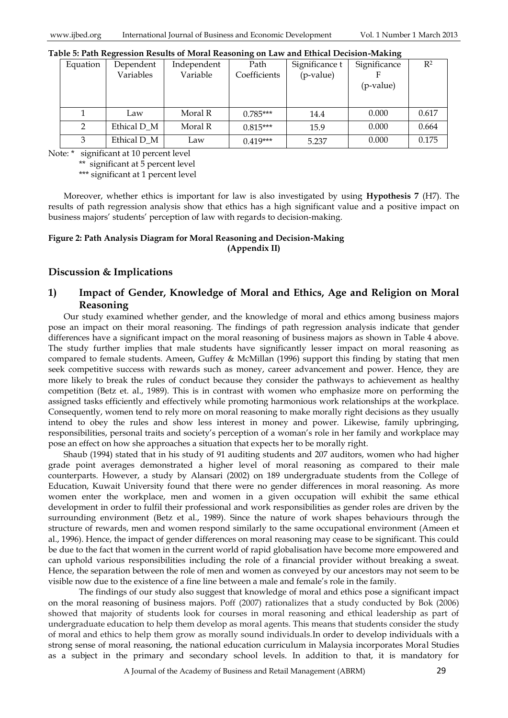| Equation | Dependent   | Independent | Path         | Significance t | Significance | $R^2$ |
|----------|-------------|-------------|--------------|----------------|--------------|-------|
|          | Variables   | Variable    | Coefficients | (p-value)      |              |       |
|          |             |             |              |                | (p-value)    |       |
|          |             |             |              |                |              |       |
|          |             |             |              |                |              |       |
|          | Law         | Moral R     | $0.785***$   | 14.4           | 0.000        | 0.617 |
|          | Ethical D M | Moral R     | $0.815***$   | 15.9           | 0.000        | 0.664 |
| 3        | Ethical D M | Law         | $0.419***$   | 5.237          | 0.000        | 0.175 |

**Table 5: Path Regression Results of Moral Reasoning on Law and Ethical Decision-Making**

Note: \* significant at 10 percent level

\*\* significant at 5 percent level

\*\*\* significant at 1 percent level

Moreover, whether ethics is important for law is also investigated by using **Hypothesis 7** (H7). The results of path regression analysis show that ethics has a high significant value and a positive impact on business majors' students' perception of law with regards to decision-making.

### **Figure 2: Path Analysis Diagram for Moral Reasoning and Decision-Making (Appendix II)**

### **Discussion & Implications**

### **1) Impact of Gender, Knowledge of Moral and Ethics, Age and Religion on Moral Reasoning**

Our study examined whether gender, and the knowledge of moral and ethics among business majors pose an impact on their moral reasoning. The findings of path regression analysis indicate that gender differences have a significant impact on the moral reasoning of business majors as shown in Table 4 above. The study further implies that male students have significantly lesser impact on moral reasoning as compared to female students. Ameen, Guffey & McMillan (1996) support this finding by stating that men seek competitive success with rewards such as money, career advancement and power. Hence, they are more likely to break the rules of conduct because they consider the pathways to achievement as healthy competition (Betz et. al., 1989). This is in contrast with women who emphasize more on performing the assigned tasks efficiently and effectively while promoting harmonious work relationships at the workplace. Consequently, women tend to rely more on moral reasoning to make morally right decisions as they usually intend to obey the rules and show less interest in money and power. Likewise, family upbringing, responsibilities, personal traits and society's perception of a woman's role in her family and workplace may pose an effect on how she approaches a situation that expects her to be morally right.

Shaub (1994) stated that in his study of 91 auditing students and 207 auditors, women who had higher grade point averages demonstrated a higher level of moral reasoning as compared to their male counterparts. However, a study by Alansari (2002) on 189 undergraduate students from the College of Education, Kuwait University found that there were no gender differences in moral reasoning. As more women enter the workplace, men and women in a given occupation will exhibit the same ethical development in order to fulfil their professional and work responsibilities as gender roles are driven by the surrounding environment (Betz et al., 1989). Since the nature of work shapes behaviours through the structure of rewards, men and women respond similarly to the same occupational environment (Ameen et al., 1996). Hence, the impact of gender differences on moral reasoning may cease to be significant. This could be due to the fact that women in the current world of rapid globalisation have become more empowered and can uphold various responsibilities including the role of a financial provider without breaking a sweat. Hence, the separation between the role of men and women as conveyed by our ancestors may not seem to be visible now due to the existence of a fine line between a male and female's role in the family.

The findings of our study also suggest that knowledge of moral and ethics pose a significant impact on the moral reasoning of business majors. Poff (2007) rationalizes that a study conducted by Bok (2006) showed that majority of students look for courses in moral reasoning and ethical leadership as part of undergraduate education to help them develop as moral agents. This means that students consider the study of moral and ethics to help them grow as morally sound individuals.In order to develop individuals with a strong sense of moral reasoning, the national education curriculum in Malaysia incorporates Moral Studies as a subject in the primary and secondary school levels. In addition to that, it is mandatory for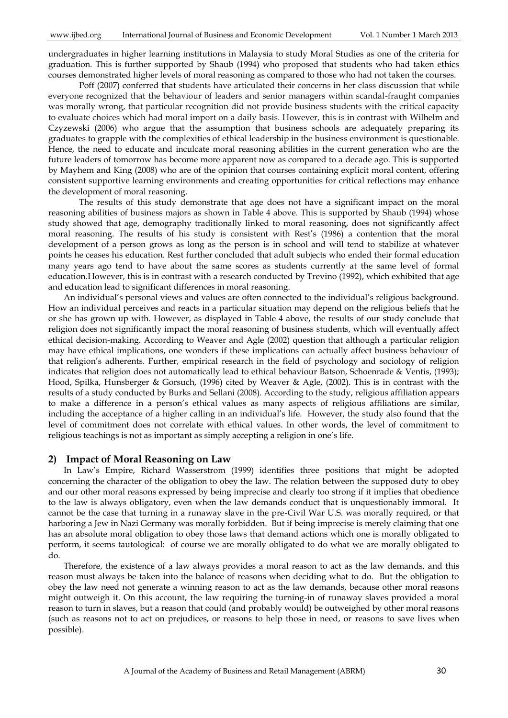undergraduates in higher learning institutions in Malaysia to study Moral Studies as one of the criteria for graduation. This is further supported by Shaub (1994) who proposed that students who had taken ethics courses demonstrated higher levels of moral reasoning as compared to those who had not taken the courses.

Poff (2007) conferred that students have articulated their concerns in her class discussion that while everyone recognized that the behaviour of leaders and senior managers within scandal-fraught companies was morally wrong, that particular recognition did not provide business students with the critical capacity to evaluate choices which had moral import on a daily basis. However, this is in contrast with Wilhelm and Czyzewski (2006) who argue that the assumption that business schools are adequately preparing its graduates to grapple with the complexities of ethical leadership in the business environment is questionable. Hence, the need to educate and inculcate moral reasoning abilities in the current generation who are the future leaders of tomorrow has become more apparent now as compared to a decade ago. This is supported by Mayhem and King (2008) who are of the opinion that courses containing explicit moral content, offering consistent supportive learning environments and creating opportunities for critical reflections may enhance the development of moral reasoning.

The results of this study demonstrate that age does not have a significant impact on the moral reasoning abilities of business majors as shown in Table 4 above. This is supported by Shaub (1994) whose study showed that age, demography traditionally linked to moral reasoning, does not significantly affect moral reasoning. The results of his study is consistent with Rest's (1986) a contention that the moral development of a person grows as long as the person is in school and will tend to stabilize at whatever points he ceases his education. Rest further concluded that adult subjects who ended their formal education many years ago tend to have about the same scores as students currently at the same level of formal education.However, this is in contrast with a research conducted by Trevino (1992), which exhibited that age and education lead to significant differences in moral reasoning.

An individual's personal views and values are often connected to the individual's religious background. How an individual perceives and reacts in a particular situation may depend on the religious beliefs that he or she has grown up with. However, as displayed in Table 4 above, the results of our study conclude that religion does not significantly impact the moral reasoning of business students, which will eventually affect ethical decision-making. According to Weaver and Agle (2002) question that although a particular religion may have ethical implications, one wonders if these implications can actually affect business behaviour of that religion's adherents. Further, empirical research in the field of psychology and sociology of religion indicates that religion does not automatically lead to ethical behaviour Batson, Schoenrade & Ventis, (1993); Hood, Spilka, Hunsberger & Gorsuch, (1996) cited by Weaver & Agle, (2002). This is in contrast with the results of a study conducted by Burks and Sellani (2008). According to the study, religious affiliation appears to make a difference in a person's ethical values as many aspects of religious affiliations are similar, including the acceptance of a higher calling in an individual's life. However, the study also found that the level of commitment does not correlate with ethical values. In other words, the level of commitment to religious teachings is not as important as simply accepting a religion in one's life.

#### **2) Impact of Moral Reasoning on Law**

In Law's Empire, Richard Wasserstrom (1999) identifies three positions that might be adopted concerning the character of the obligation to obey the law. The relation between the supposed duty to obey and our other moral reasons expressed by being imprecise and clearly too strong if it implies that obedience to the law is always obligatory, even when the law demands conduct that is unquestionably immoral. It cannot be the case that turning in a runaway slave in the pre-Civil War U.S. was morally required, or that harboring a Jew in Nazi Germany was morally forbidden. But if being imprecise is merely claiming that one has an absolute moral obligation to obey those laws that demand actions which one is morally obligated to perform, it seems tautological: of course we are morally obligated to do what we are morally obligated to do.

Therefore, the existence of a law always provides a moral reason to act as the law demands, and this reason must always be taken into the balance of reasons when deciding what to do. But the obligation to obey the law need not generate a winning reason to act as the law demands, because other moral reasons might outweigh it. On this account, the law requiring the turning-in of runaway slaves provided a moral reason to turn in slaves, but a reason that could (and probably would) be outweighed by other moral reasons (such as reasons not to act on prejudices, or reasons to help those in need, or reasons to save lives when possible).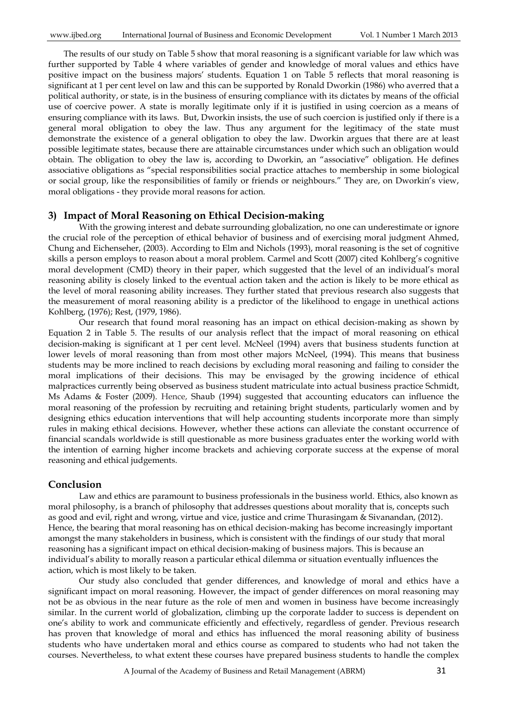The results of our study on Table 5 show that moral reasoning is a significant variable for law which was further supported by Table 4 where variables of gender and knowledge of moral values and ethics have positive impact on the business majors' students. Equation 1 on Table 5 reflects that moral reasoning is significant at 1 per cent level on law and this can be supported by Ronald Dworkin (1986) who averred that a political authority, or state, is in the business of ensuring compliance with its dictates by means of the official use of coercive power. A state is morally legitimate only if it is justified in using coercion as a means of ensuring compliance with its laws. But, Dworkin insists, the use of such coercion is justified only if there is a general moral obligation to obey the law. Thus any argument for the legitimacy of the state must demonstrate the existence of a general obligation to obey the law. Dworkin argues that there are at least possible legitimate states, because there are attainable circumstances under which such an obligation would obtain. The obligation to obey the law is, according to Dworkin, an "associative" obligation. He defines associative obligations as "special responsibilities social practice attaches to membership in some biological or social group, like the responsibilities of family or friends or neighbours." They are, on Dworkin's view, moral obligations - they provide moral reasons for action.

### **3) Impact of Moral Reasoning on Ethical Decision-making**

With the growing interest and debate surrounding globalization, no one can underestimate or ignore the crucial role of the perception of ethical behavior of business and of exercising moral judgment Ahmed, Chung and Eichenseher, (2003). According to Elm and Nichols (1993), moral reasoning is the set of cognitive skills a person employs to reason about a moral problem. Carmel and Scott (2007) cited Kohlberg's cognitive moral development (CMD) theory in their paper, which suggested that the level of an individual's moral reasoning ability is closely linked to the eventual action taken and the action is likely to be more ethical as the level of moral reasoning ability increases. They further stated that previous research also suggests that the measurement of moral reasoning ability is a predictor of the likelihood to engage in unethical actions Kohlberg, (1976); Rest, (1979, 1986).

Our research that found moral reasoning has an impact on ethical decision-making as shown by Equation 2 in Table 5. The results of our analysis reflect that the impact of moral reasoning on ethical decision-making is significant at 1 per cent level. McNeel (1994) avers that business students function at lower levels of moral reasoning than from most other majors McNeel, (1994). This means that business students may be more inclined to reach decisions by excluding moral reasoning and failing to consider the moral implications of their decisions. This may be envisaged by the growing incidence of ethical malpractices currently being observed as business student matriculate into actual business practice Schmidt, Ms Adams & Foster (2009). Hence, Shaub (1994) suggested that accounting educators can influence the moral reasoning of the profession by recruiting and retaining bright students, particularly women and by designing ethics education interventions that will help accounting students incorporate more than simply rules in making ethical decisions. However, whether these actions can alleviate the constant occurrence of financial scandals worldwide is still questionable as more business graduates enter the working world with the intention of earning higher income brackets and achieving corporate success at the expense of moral reasoning and ethical judgements.

#### **Conclusion**

Law and ethics are paramount to business professionals in the business world. Ethics, also known as moral philosophy, is a branch of philosophy that addresses questions about morality that is, concepts such as good and evil, right and wrong, virtue and vice, justice and crime Thurasingam & Sivanandan, (2012). Hence, the bearing that moral reasoning has on ethical decision-making has become increasingly important amongst the many stakeholders in business, which is consistent with the findings of our study that moral reasoning has a significant impact on ethical decision-making of business majors. This is because an individual's ability to morally reason a particular ethical dilemma or situation eventually influences the action, which is most likely to be taken.

Our study also concluded that gender differences, and knowledge of moral and ethics have a significant impact on moral reasoning. However, the impact of gender differences on moral reasoning may not be as obvious in the near future as the role of men and women in business have become increasingly similar. In the current world of globalization, climbing up the corporate ladder to success is dependent on one's ability to work and communicate efficiently and effectively, regardless of gender. Previous research has proven that knowledge of moral and ethics has influenced the moral reasoning ability of business students who have undertaken moral and ethics course as compared to students who had not taken the courses. Nevertheless, to what extent these courses have prepared business students to handle the complex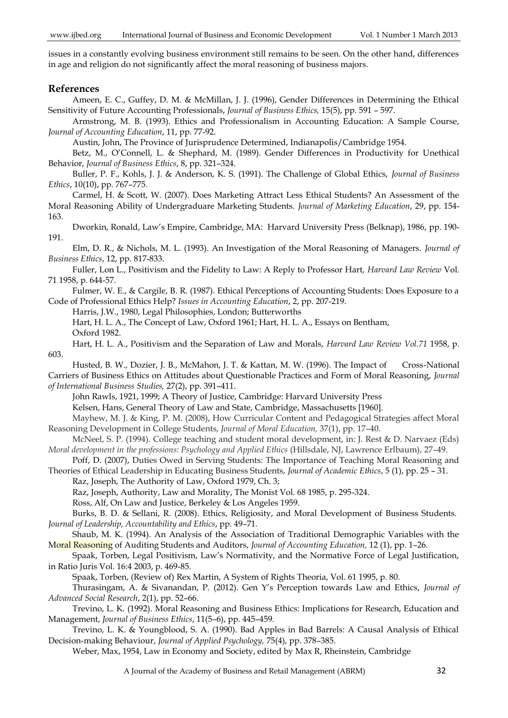issues in a constantly evolving business environment still remains to be seen. On the other hand, differences in age and religion do not significantly affect the moral reasoning of business majors.

## **References**

Ameen, E. C., Guffey, D. M. & McMillan, J. J. (1996), Gender Differences in Determining the Ethical Sensitivity of Future Accounting Professionals, *Journal of Business Ethics,* 15(5), pp. 591 – 597.

Armstrong, M. B. (1993). Ethics and Professionalism in Accounting Education: A Sample Course, *Journal of Accounting Education*, 11, pp. 77-92.

Austin, John, The Province of Jurisprudence Determined, Indianapolis/Cambridge 1954.

Betz, M., O'Connell, L. & Shephard, M. (1989). Gender Differences in Productivity for Unethical Behavior, *Journal of Business Ethics*, 8, pp. 321–324.

Buller, P. F., Kohls, J. J. & Anderson, K. S. (1991). The Challenge of Global Ethics, *Journal of Business Ethics*, 10(10), pp. 767–775.

Carmel, H. & Scott, W. (2007). Does Marketing Attract Less Ethical Students? An Assessment of the Moral Reasoning Ability of Undergraduare Marketing Students. *Journal of Marketing Education*, 29, pp. 154- 163.

Dworkin, Ronald, Law's Empire, Cambridge, MA: Harvard University Press (Belknap), 1986, pp. 190- 191.

Elm, D. R., & Nichols, M. L. (1993). An Investigation of the Moral Reasoning of Managers. *Journal of Business Ethics*, 12, pp. 817-833.

Fuller, Lon L., Positivism and the Fidelity to Law: A Reply to Professor Hart, *Harvard Law Review* Vol. 71 1958, p. 644-57.

Fulmer, W. E., & Cargile, B. R. (1987). Ethical Perceptions of Accounting Students: Does Exposure to a Code of Professional Ethics Help? *Issues in Accounting Education*, 2, pp. 207-219.

Harris, J.W., 1980, Legal Philosophies, London; Butterworths

Hart, H. L. A., The Concept of Law, Oxford 1961; Hart, H. L. A., Essays on Bentham, Oxford 1982.

Hart, H. L. A., Positivism and the Separation of Law and Morals, *Harvard Law Review Vol.71* 1958, p. 603.

Husted, B. W., Dozier, J. B., McMahon, J. T. & Kattan, M. W. (1996). The Impact of Cross-National Carriers of Business Ethics on Attitudes about Questionable Practices and Form of Moral Reasoning, *Journal of International Business Studies,* 27(2), pp. 391–411.

John Rawls, 1921, 1999; A Theory of Justice, Cambridge: Harvard University Press

Kelsen, Hans, General Theory of Law and State, Cambridge, Massachusetts [1960].

Mayhew, M. J. & King, P. M. (2008), How Curricular Content and Pedagogical Strategies affect Moral Reasoning Development in College Students, *Journal of Moral Education,* 37(1), pp. 17–40.

- McNeel, S. P. (1994). College teaching and student moral development, in: J. Rest & D. Narvaez (Eds) *Moral development in the professions: Psychology and Applied Ethics* (Hillsdale, NJ, Lawrence Erlbaum), 27–49.
- Poff, D. (2007), Duties Owed in Serving Students: The Importance of Teaching Moral Reasoning and Theories of Ethical Leadership in Educating Business Students, *Journal of Academic Ethics*, 5 (1), pp. 25 – 31.

Raz, Joseph, The Authority of Law, Oxford 1979, Ch. 3;

Raz, Joseph, Authority, Law and Morality, The Monist Vol. 68 1985, p. 295-324.

Ross, Alf, On Law and Justice, Berkeley & Los Angeles 1959.

Burks, B. D. & Sellani, R. (2008). Ethics, Religiosity, and Moral Development of Business Students. *Journal of Leadership, Accountability and Ethics*, pp. 49–71.

Shaub, M. K. (1994). An Analysis of the Association of Traditional Demographic Variables with the Moral Reasoning of Auditing Students and Auditors, *Journal of Accounting Education,* 12 (1), pp. 1–26.

Spaak, Torben, Legal Positivism, Law's Normativity, and the Normative Force of Legal Justification, in Ratio Juris Vol. 16:4 2003, p. 469-85.

Spaak, Torben, (Review of) Rex Martin, A System of Rights Theoria, Vol. 61 1995, p. 80.

Thurasingam, A. & Sivanandan, P. (2012). Gen Y's Perception towards Law and Ethics, *Journal of Advanced Social Research*, 2(1), pp. 52–66.

Trevino, L. K. (1992). Moral Reasoning and Business Ethics: Implications for Research, Education and Management, *Journal of Business Ethics*, 11(5–6), pp. 445–459.

Trevino, L. K. & Youngblood, S. A. (1990). Bad Apples in Bad Barrels: A Causal Analysis of Ethical Decision-making Behaviour, *Journal of Applied Psychology,* 75(4), pp. 378–385.

Weber, Max, 1954, Law in Economy and Society, edited by Max R, Rheinstein, Cambridge